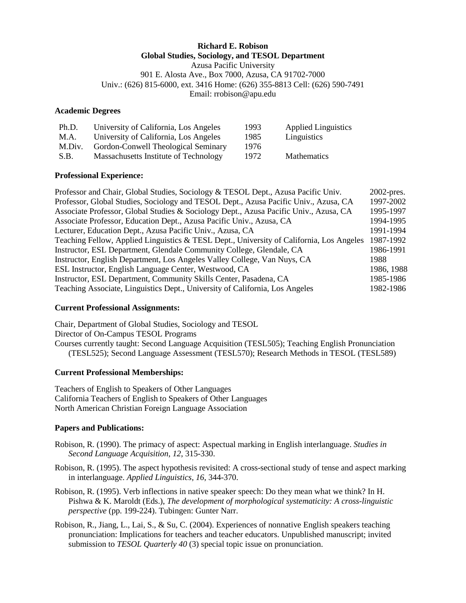### **Richard E. Robison Global Studies, Sociology, and TESOL Department**

Azusa Pacific University 901 E. Alosta Ave., Box 7000, Azusa, CA 91702-7000 Univ.: (626) 815-6000, ext. 3416 Home: (626) 355-8813 Cell: (626) 590-7491 Email: rrobison@apu.edu

#### **Academic Degrees**

| Ph.D.  | University of California, Los Angeles | 1993 | <b>Applied Linguistics</b> |
|--------|---------------------------------------|------|----------------------------|
| M.A.   | University of California, Los Angeles | 1985 | Linguistics                |
| M.Div. | Gordon-Conwell Theological Seminary   | 1976 |                            |
| S.B.   | Massachusetts Institute of Technology | 1972 | <b>Mathematics</b>         |

### **Professional Experience:**

| Professor and Chair, Global Studies, Sociology & TESOL Dept., Azusa Pacific Univ.        | $2002$ -pres. |
|------------------------------------------------------------------------------------------|---------------|
| Professor, Global Studies, Sociology and TESOL Dept., Azusa Pacific Univ., Azusa, CA     | 1997-2002     |
| Associate Professor, Global Studies & Sociology Dept., Azusa Pacific Univ., Azusa, CA    | 1995-1997     |
| Associate Professor, Education Dept., Azusa Pacific Univ., Azusa, CA                     | 1994-1995     |
| Lecturer, Education Dept., Azusa Pacific Univ., Azusa, CA                                | 1991-1994     |
| Teaching Fellow, Applied Linguistics & TESL Dept., University of California, Los Angeles | 1987-1992     |
| Instructor, ESL Department, Glendale Community College, Glendale, CA                     | 1986-1991     |
| Instructor, English Department, Los Angeles Valley College, Van Nuys, CA                 | 1988          |
| ESL Instructor, English Language Center, Westwood, CA                                    | 1986, 1988    |
| Instructor, ESL Department, Community Skills Center, Pasadena, CA                        | 1985-1986     |
| Teaching Associate, Linguistics Dept., University of California, Los Angeles             | 1982-1986     |

### **Current Professional Assignments:**

Chair, Department of Global Studies, Sociology and TESOL Director of On-Campus TESOL Programs Courses currently taught: Second Language Acquisition (TESL505); Teaching English Pronunciation (TESL525); Second Language Assessment (TESL570); Research Methods in TESOL (TESL589)

### **Current Professional Memberships:**

Teachers of English to Speakers of Other Languages California Teachers of English to Speakers of Other Languages North American Christian Foreign Language Association

### **Papers and Publications:**

- Robison, R. (1990). The primacy of aspect: Aspectual marking in English interlanguage. *Studies in Second Language Acquisition, 12*, 315-330.
- Robison, R. (1995). The aspect hypothesis revisited: A cross-sectional study of tense and aspect marking in interlanguage. *Applied Linguistics, 16*, 344-370.
- Robison, R. (1995). Verb inflections in native speaker speech: Do they mean what we think? In H. Pishwa & K. Maroldt (Eds.), *The development of morphological systematicity: A cross-linguistic perspective* (pp. 199-224). Tubingen: Gunter Narr.
- Robison, R., Jiang, L., Lai, S., & Su, C. (2004). Experiences of nonnative English speakers teaching pronunciation: Implications for teachers and teacher educators. Unpublished manuscript; invited submission to *TESOL Quarterly 40* (3) special topic issue on pronunciation.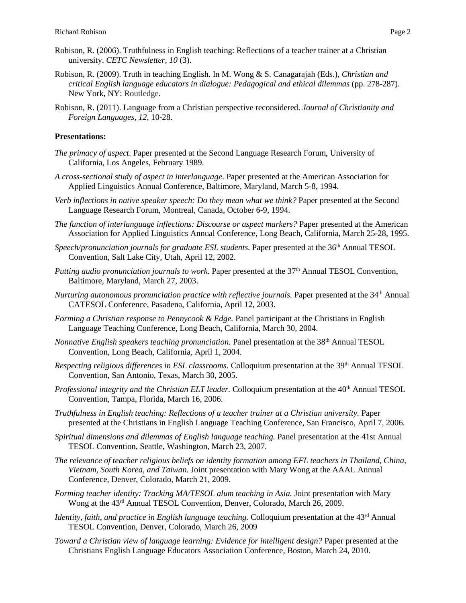- Robison, R. (2006). Truthfulness in English teaching: Reflections of a teacher trainer at a Christian university. *CETC Newsletter, 10* (3).
- Robison, R. (2009). Truth in teaching English. In M. Wong & S. Canagarajah (Eds.), *Christian and critical English language educators in dialogue: Pedagogical and ethical dilemmas* (pp. 278-287). New York, NY: Routledge.
- Robison, R. (2011). Language from a Christian perspective reconsidered. *Journal of Christianity and Foreign Languages, 12,* 10-28.

#### **Presentations:**

- *The primacy of aspect*. Paper presented at the Second Language Research Forum, University of California, Los Angeles, February 1989.
- *A cross-sectional study of aspect in interlanguage*. Paper presented at the American Association for Applied Linguistics Annual Conference, Baltimore, Maryland, March 5-8, 1994.
- *Verb inflections in native speaker speech: Do they mean what we think?* Paper presented at the Second Language Research Forum, Montreal, Canada, October 6-9, 1994.
- *The function of interlanguage inflections: Discourse or aspect markers?* Paper presented at the American Association for Applied Linguistics Annual Conference, Long Beach, California, March 25-28, 1995.
- *Speech/pronunciation journals for graduate ESL students.* Paper presented at the 36<sup>th</sup> Annual TESOL Convention, Salt Lake City, Utah, April 12, 2002.
- Putting audio pronunciation journals to work. Paper presented at the 37<sup>th</sup> Annual TESOL Convention, Baltimore, Maryland, March 27, 2003.
- *Nurturing autonomous pronunciation practice with reflective journals.* Paper presented at the 34<sup>th</sup> Annual CATESOL Conference, Pasadena, California, April 12, 2003.
- *Forming a Christian response to Pennycook & Edge.* Panel participant at the Christians in English Language Teaching Conference, Long Beach, California, March 30, 2004.
- *Nonnative English speakers teaching pronunciation*. Panel presentation at the 38<sup>th</sup> Annual TESOL Convention, Long Beach, California, April 1, 2004.
- *Respecting religious differences in ESL classrooms.* Colloquium presentation at the 39<sup>th</sup> Annual TESOL Convention, San Antonio, Texas, March 30, 2005.
- *Professional integrity and the Christian ELT leader.* Colloquium presentation at the 40<sup>th</sup> Annual TESOL Convention, Tampa, Florida, March 16, 2006.
- *Truthfulness in English teaching: Reflections of a teacher trainer at a Christian university.* Paper presented at the Christians in English Language Teaching Conference, San Francisco, April 7, 2006.
- *Spiritual dimensions and dilemmas of English language teaching.* Panel presentation at the 41st Annual TESOL Convention, Seattle, Washington, March 23, 2007.
- *[The relevance of teacher religious beliefs on identity formation among EFL teachers in Thailand, China,](http://clear.msu.edu/tripleal/scripts/viewproposal.php?_ID=3122)  [Vietnam, South Korea, and Taiwan.](http://clear.msu.edu/tripleal/scripts/viewproposal.php?_ID=3122)* Joint presentation with Mary Wong at the AAAL Annual Conference, Denver, Colorado, March 21, 2009.
- *Forming teacher identity: Tracking MA/TESOL alum teaching in Asia.* Joint presentation with Mary Wong at the 43rd Annual TESOL Convention, Denver, Colorado, March 26, 2009.
- *Identity, faith, and practice in English language teaching.* Colloquium presentation at the 43<sup>rd</sup> Annual TESOL Convention, Denver, Colorado, March 26, 2009
- *Toward a Christian view of language learning: Evidence for intelligent design?* Paper presented at the Christians English Language Educators Association Conference, Boston, March 24, 2010.